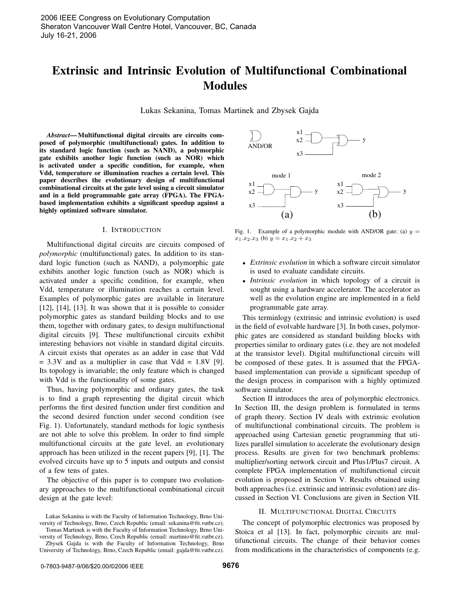# **Extrinsic and Intrinsic Evolution of Multifunctional Combinational Modules**

Lukas Sekanina, Tomas Martinek and Zbysek Gajda

*Abstract***— Multifunctional digital circuits are circuits composed of polymorphic (multifunctional) gates. In addition to its standard logic function (such as NAND), a polymorphic gate exhibits another logic function (such as NOR) which is activated under a specific condition, for example, when Vdd, temperature or illumination reaches a certain level. This paper describes the evolutionary design of multifunctional combinational circuits at the gate level using a circuit simulator and in a field programmable gate array (FPGA). The FPGAbased implementation exhibits a significant speedup against a highly optimized software simulator.**

## I. INTRODUCTION

Multifunctional digital circuits are circuits composed of *polymorphic* (multifunctional) gates. In addition to its standard logic function (such as NAND), a polymorphic gate exhibits another logic function (such as NOR) which is activated under a specific condition, for example, when Vdd, temperature or illumination reaches a certain level. Examples of polymorphic gates are available in literature [12], [14], [13]. It was shown that it is possible to consider polymorphic gates as standard building blocks and to use them, together with ordinary gates, to design multifunctional digital circuits [9]. These multifunctional circuits exhibit interesting behaviors not visible in standard digital circuits. A circuit exists that operates as an adder in case that Vdd  $= 3.3V$  and as a multiplier in case that Vdd  $= 1.8V$  [9]. Its topology is invariable; the only feature which is changed with Vdd is the functionality of some gates.

Thus, having polymorphic and ordinary gates, the task is to find a graph representing the digital circuit which performs the first desired function under first condition and the second desired function under second condition (see Fig. 1). Unfortunately, standard methods for logic synthesis are not able to solve this problem. In order to find simple multifunctional circuits at the gate level, an evolutionary approach has been utilized in the recent papers [9], [1]. The evolved circuits have up to 5 inputs and outputs and consist of a few tens of gates.

The objective of this paper is to compare two evolutionary approaches to the multifunctional combinational circuit design at the gate level:



versity of Technology, Brno, Czech Republic (email: martinto@fit.vutbr.cz). Zbysek Gajda is with the Faculty of Information Technology, Brno University of Technology, Brno, Czech Republic (email: gajda@fit.vutbr.cz).



Fig. 1. Example of a polymorphic module with AND/OR gate: (a)  $y =$  $x_1.x_2.x_3$  (b)  $y = x_1.x_2 + x_3$ 

- *Extrinsic evolution* in which a software circuit simulator is used to evaluate candidate circuits.
- *Intrinsic evolution* in which topology of a circuit is sought using a hardware accelerator. The accelerator as well as the evolution engine are implemented in a field programmable gate array.

This terminlogy (extrinsic and intrinsic evolution) is used in the field of evolvable hardware [3]. In both cases, polymorphic gates are considered as standard building blocks with properties similar to ordinary gates (i.e. they are not modeled at the transistor level). Digital multifunctional circuits will be composed of these gates. It is assumed that the FPGAbased implementation can provide a significant speedup of the design process in comparison with a highly optimized software simulator.

Section II introduces the area of polymorphic electronics. In Section III, the design problem is formulated in terms of graph theory. Section IV deals with extrinsic evolution of multifunctional combinational circuits. The problem is approached using Cartesian genetic programming that utilizes parallel simulation to accelerate the evolutionary design process. Results are given for two benchmark problems: multiplier/sorting network circuit and Plus1/Plus7 circuit. A complete FPGA implementation of multifunctional circuit evolution is proposed in Section V. Results obtained using both approaches (i.e. extrinsic and intrinsic evolution) are discussed in Section VI. Conclusions are given in Section VII.

# II. MULTIFUNCTIONAL DIGITAL CIRCUITS

The concept of polymorphic electronics was proposed by Stoica et al [13]. In fact, polymorphic circuits are multifunctional circuits. The change of their behavior comes from modifications in the characteristics of components (e.g.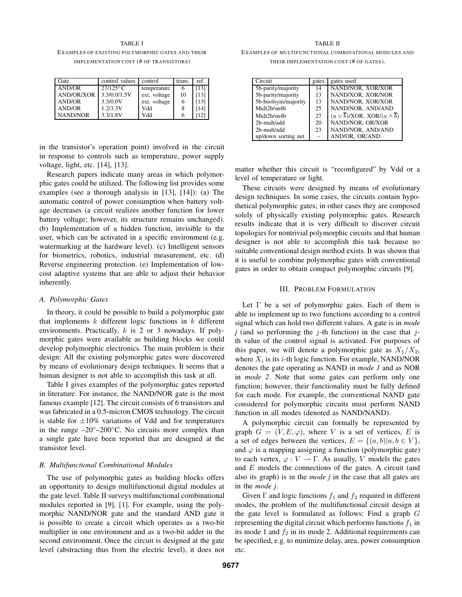TABLE I EXAMPLES OF EXISTING POLYMORPHIC GATES AND THEIR IMPLEMENTATION COST (# OF TRANSISTORS)

| Gate              | control values | control      | trans. | ref. |
|-------------------|----------------|--------------|--------|------|
| AND/OR            | $27/125$ °C    | temperature  |        | [13] |
| <b>AND/OR/XOR</b> | 3.3/0.0/1.5V   | ext. voltage | 10     | (13) |
| <b>AND/OR</b>     | 3.3/0.0V       | ext. voltage | 6      | (13) |
| <b>AND/OR</b>     | 1.2/3.3V       | Vdd          | 8      | 141  |
| NAND/NOR          | 3.3/1.8V       | Vdd          | 6      |      |

in the transistor's operation point) involved in the circuit in response to controls such as temperature, power supply voltage, light, etc. [14], [13].

Research papers indicate many areas in which polymorphic gates could be utilized. The following list provides some examples (see a thorough analysis in [13], [14]): (a) The automatic control of power consumption when battery voltage decreases (a circuit realizes another function for lower battery voltage; however, its structure remains unchanged). (b) Implementation of a hidden function, invisible to the user, which can be activated in a specific environment (e.g. watermarking at the hardware level). (c) Intelligent sensors for biometrics, robotics, industrial measurement, etc. (d) Reverse engineering protection. (e) Implementation of lowcost adaptive systems that are able to adjust their behavior inherently.

## *A. Polymorphic Gates*

In theory, it could be possible to build a polymorphic gate that implements  $k$  different logic functions in  $k$  different environments. Practically,  $k$  is 2 or 3 nowadays. If polymorphic gates were available as building blocks we could develop polymorphic electronics. The main problem is their design: All the existing polymorphic gates were discovered by means of evolutionary design techniques. It seems that a human designer is not able to accomplish this task at all.

Table I gives examples of the polymorphic gates reported in literature. For instance, the NAND/NOR gate is the most famous example [12]. The circuit consists of 6 transistors and was fabricated in a 0.5-micron CMOS technology. The circuit is stable for  $\pm 10\%$  variations of Vdd and for temperatures in the range –20◦–200◦C. No circuits more complex than a single gate have been reported that are designed at the transistor level.

#### *B. Multifunctional Combinational Modules*

The use of polymorphic gates as building blocks offers an opportunity to design multifunctional digital modules at the gate level. Table II surveys multifunctional combinational modules reported in [9], [1]. For example, using the polymorphic NAND/NOR gate and the standard AND gate it is possible to create a circuit which operates as a two-bit multiplier in one environment and as a two-bit adder in the second environment. Once the circuit is designed at the gate level (abstracting thus from the electric level), it does not

TABLE II EXAMPLES OF MULTIFUNCTIONAL COMBINATIONAL MODULES AND THEIR IMPLEMENTATION COST (# OF GATES).

| Circuit             | gates | gates used                                                   |
|---------------------|-------|--------------------------------------------------------------|
| 5b-parity/majority  | 14    | NAND/NOR, XOR/XOR                                            |
| 5b-parity/majority  | 13    | NAND/XOR, XOR/NOR                                            |
| 5b-boolsym/majority | 13    | NAND/NOR, XOR/XOR                                            |
| Mult2b/sn4b         | 25    | NAND/NOR, AND/AND                                            |
| Mult2b/sn4b         | 27    | $(a \vee \overline{b})$ /XOR, XOR/ $(a \wedge \overline{b})$ |
| 2b-mult/add         | 20    | NAND/NOR, OR/XOR                                             |
| 2b-mult/add         | 23    | NAND/NOR, AND/AND                                            |
| up/down sorting net |       | AND/OR. OR/AND                                               |

matter whether this circuit is "reconfigured" by Vdd or a level of temperature or light.

These circuits were designed by means of evolutionary design techniques. In some cases, the circuits contain hypothetical polymorphic gates; in other cases they are composed solely of physically existing polymorphic gates. Research results indicate that it is very difficult to discover circuit topologies for nontrivial polymorphic circuits and that human designer is not able to accomplish this task because no suitable conventional design method exists. It was shown that it is useful to combine polymorphic gates with conventional gates in order to obtain compact polymorphic circuits [9].

## III. PROBLEM FORMULATION

Let  $\Gamma$  be a set of polymorphic gates. Each of them is able to implement up to two functions according to a control signal which can hold two different values. A gate is in *mode*  $j$  (and so performing the  $j$ -th function) in the case that  $j$ th value of the control signal is activated. For purposes of this paper, we will denote a polymorphic gate as  $X_1/X_2$ , where  $X_i$  is its *i*-th logic function. For example, NAND/NOR denotes the gate operating as NAND in *mode 1* and as NOR in *mode 2*. Note that some gates can perform only one function; however, their functionality must be fully defined for each mode. For example, the conventional NAND gate considered for polymorphic circuits must perform NAND function in all modes (denoted as NAND/NAND).

A polymorphic circuit can formally be represented by graph  $G = (V, E, \varphi)$ , where V is a set of vertices, E is a set of edges between the vertices,  $E = \{(a, b) | a, b \in V\}$ , and  $\varphi$  is a mapping assigning a function (polymorphic gate) to each vertex,  $\varphi: V \to \Gamma$ . As usually, V models the gates and  $E$  models the connections of the gates. A circuit (and also its graph) is in the *mode j* in the case that all gates are in the *mode j*.

Given  $\Gamma$  and logic functions  $f_1$  and  $f_2$  required in different modes, the problem of the multifunctional circuit design at the gate level is formulated as follows: Find a graph G representing the digital circuit which performs functions  $f_1$  in its mode 1 and  $f_2$  in its mode 2. Additional requirements can be specified, e.g. to minimize delay, area, power consumption etc.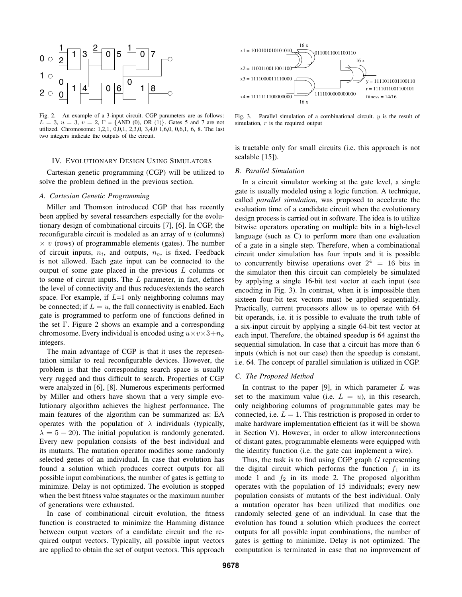

Fig. 2. An example of a 3-input circuit. CGP parameters are as follows:  $L = 3$ ,  $u = 3$ ,  $v = 2$ ,  $\Gamma = \{AND(0), OR(1)\}$ . Gates 5 and 7 are not utilized. Chromosome: 1,2,1, 0,0,1, 2,3,0, 3,4,0 1,6,0, 0,6,1, 6, 8. The last two integers indicate the outputs of the circuit.

## IV. EVOLUTIONARY DESIGN USING SIMULATORS

Cartesian genetic programming (CGP) will be utilized to solve the problem defined in the previous section.

#### *A. Cartesian Genetic Programming*

Miller and Thomson introduced CGP that has recently been applied by several researchers especially for the evolutionary design of combinational circuits [7], [6]. In CGP, the reconfigurable circuit is modeled as an array of  $u$  (columns)  $\times v$  (rows) of programmable elements (gates). The number of circuit inputs, n*<sup>i</sup>*, and outputs, <sup>n</sup>*<sup>o</sup>*, is fixed. Feedback is not allowed. Each gate input can be connected to the output of some gate placed in the previous  $L$  columns or to some of circuit inputs. The  $L$  parameter, in fact, defines the level of connectivity and thus reduces/extends the search space. For example, if  $L=1$  only neighboring columns may be connected; if  $L = u$ , the full connectivity is enabled. Each gate is programmed to perform one of functions defined in the set Γ. Figure 2 shows an example and a corresponding chromosome. Every individual is encoded using  $u \times v \times 3 + n_o$ integers.

The main advantage of CGP is that it uses the representation similar to real reconfigurable devices. However, the problem is that the corresponding search space is usually very rugged and thus difficult to search. Properties of CGP were analyzed in [6], [8]. Numerous experiments performed by Miller and others have shown that a very simple evolutionary algorithm achieves the highest performance. The main features of the algorithm can be summarized as: EA operates with the population of  $\lambda$  individuals (typically,  $\lambda = 5 - 20$ ). The initial population is randomly generated. Every new population consists of the best individual and its mutants. The mutation operator modifies some randomly selected genes of an individual. In case that evolution has found a solution which produces correct outputs for all possible input combinations, the number of gates is getting to minimize. Delay is not optimized. The evolution is stopped when the best fitness value stagnates or the maximum number of generations were exhausted.

In case of combinational circuit evolution, the fitness function is constructed to minimize the Hamming distance between output vectors of a candidate circuit and the required output vectors. Typically, all possible input vectors are applied to obtain the set of output vectors. This approach



Fig. 3. Parallel simulation of a combinational circuit. *y* is the result of simulation, *r* is the required output

is tractable only for small circuits (i.e. this approach is not scalable [15]).

## *B. Parallel Simulation*

In a circuit simulator working at the gate level, a single gate is usually modeled using a logic function. A technique, called *parallel simulation*, was proposed to accelerate the evaluation time of a candidate circuit when the evolutionary design process is carried out in software. The idea is to utilize bitwise operators operating on multiple bits in a high-level language (such as C) to perform more than one evaluation of a gate in a single step. Therefore, when a combinational circuit under simulation has four inputs and it is possible to concurrently bitwise operations over  $2^4 = 16$  bits in the simulator then this circuit can completely be simulated by applying a single 16-bit test vector at each input (see encoding in Fig. 3). In contrast, when it is impossible then sixteen four-bit test vectors must be applied sequentially. Practically, current processors allow us to operate with 64 bit operands, i.e. it is possible to evaluate the truth table of a six-input circuit by applying a single 64-bit test vector at each input. Therefore, the obtained speedup is 64 against the sequential simulation. In case that a circuit has more than 6 inputs (which is not our case) then the speedup is constant, i.e. 64. The concept of parallel simulation is utilized in CGP.

## *C. The Proposed Method*

In contrast to the paper [9], in which parameter  $L$  was set to the maximum value (i.e.  $L = u$ ), in this research, only neighboring columns of programmable gates may be connected, i.e.  $L = 1$ . This restriction is proposed in order to make hardware implementation efficient (as it will be shown in Section V). However, in order to allow interconnections of distant gates, programmable elements were equipped with the identity function (i.e. the gate can implement a wire).

Thus, the task is to find using CGP graph  $G$  representing the digital circuit which performs the function  $f_1$  in its mode 1 and  $f_2$  in its mode 2. The proposed algorithm operates with the population of 15 individuals; every new population consists of mutants of the best individual. Only a mutation operator has been utilized that modifies one randomly selected gene of an individual. In case that the evolution has found a solution which produces the correct outputs for all possible input combinations, the number of gates is getting to minimize. Delay is not optimized. The computation is terminated in case that no improvement of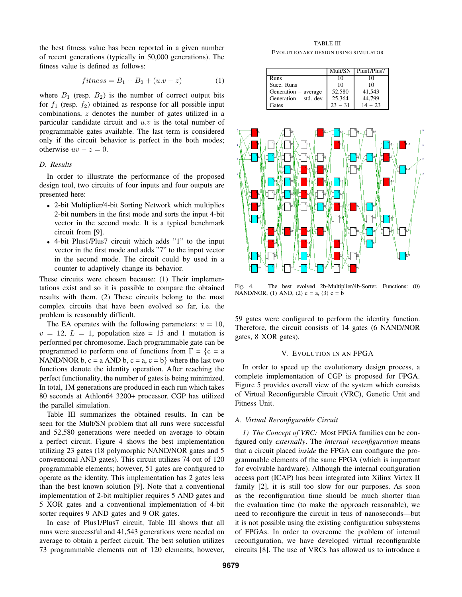the best fitness value has been reported in a given number of recent generations (typically in 50,000 generations). The fitness value is defined as follows:

$$
fitness = B_1 + B_2 + (u \cdot v - z)
$$
 (1)

where  $B_1$  (resp.  $B_2$ ) is the number of correct output bits for  $f_1$  (resp.  $f_2$ ) obtained as response for all possible input combinations, z denotes the number of gates utilized in a particular candidate circuit and  $u.v$  is the total number of programmable gates available. The last term is considered only if the circuit behavior is perfect in the both modes; otherwise  $uv - z = 0$ .

# *D. Results*

In order to illustrate the performance of the proposed design tool, two circuits of four inputs and four outputs are presented here:

- 2-bit Multiplier/4-bit Sorting Network which multiplies 2-bit numbers in the first mode and sorts the input 4-bit vector in the second mode. It is a typical benchmark circuit from [9].
- 4-bit Plus1/Plus7 circuit which adds "1" to the input vector in the first mode and adds "7" to the input vector in the second mode. The circuit could by used in a counter to adaptively change its behavior.

These circuits were chosen because: (1) Their implementations exist and so it is possible to compare the obtained results with them. (2) These circuits belong to the most complex circuits that have been evolved so far, i.e. the problem is reasonably difficult.

The EA operates with the following parameters:  $u = 10$ ,  $v = 12$ ,  $L = 1$ , population size = 15 and 1 mutation is performed per chromosome. Each programmable gate can be programmed to perform one of functions from  $\Gamma = \{c = a$ NAND/NOR  $b, c = a$  AND  $b, c = a, c = b$ } where the last two functions denote the identity operation. After reaching the perfect functionality, the number of gates is being minimized. In total, 1M generations are produced in each run which takes 80 seconds at Athlon64 3200+ processor. CGP has utilized the parallel simulation.

Table III summarizes the obtained results. In can be seen for the Mult/SN problem that all runs were successful and 52,580 generations were needed on average to obtain a perfect circuit. Figure 4 shows the best implementation utilizing 23 gates (18 polymorphic NAND/NOR gates and 5 conventional AND gates). This circuit utilizes 74 out of 120 programmable elements; however, 51 gates are configured to operate as the identity. This implementation has 2 gates less than the best known solution [9]. Note that a conventional implementation of 2-bit multiplier requires 5 AND gates and 5 XOR gates and a conventional implementation of 4-bit sorter requires 9 AND gates and 9 OR gates.

In case of Plus1/Plus7 circuit, Table III shows that all runs were successful and 41,543 generations were needed on average to obtain a perfect circuit. The best solution utilizes 73 programmable elements out of 120 elements; however,

TABLE III EVOLUTIONARY DESIGN USING SIMULATOR

|                        | Mult/SN   | Plus1/Plus7 |
|------------------------|-----------|-------------|
| Runs                   | 10        | 10          |
| Succ. Runs             | 10        | 10          |
| Generation – average   | 52,580    | 41,543      |
| Generation – std. dev. | 25,364    | 44.799      |
| Gates                  | $23 - 31$ | $14 - 23$   |



Fig. 4. The best evolved 2b-Multiplier/4b-Sorter. Functions: (0) NAND/NOR, (1) AND, (2)  $c = a$ , (3)  $c = b$ 

59 gates were configured to perform the identity function. Therefore, the circuit consists of 14 gates (6 NAND/NOR gates, 8 XOR gates).

#### V. EVOLUTION IN AN FPGA

In order to speed up the evolutionary design process, a complete implementation of CGP is proposed for FPGA. Figure 5 provides overall view of the system which consists of Virtual Reconfigurable Circuit (VRC), Genetic Unit and Fitness Unit.

## *A. Virtual Reconfigurable Circuit*

*1) The Concept of VRC:* Most FPGA families can be configured only *externally*. The *internal reconfiguration* means that a circuit placed *inside* the FPGA can configure the programmable elements of the same FPGA (which is important for evolvable hardware). Although the internal configuration access port (ICAP) has been integrated into Xilinx Virtex II family [2], it is still too slow for our purposes. As soon as the reconfiguration time should be much shorter than the evaluation time (to make the approach reasonable), we need to reconfigure the circuit in tens of nanoseconds—but it is not possible using the existing configuration subsystems of FPGAs. In order to overcome the problem of internal reconfiguration, we have developed virtual reconfigurable circuits [8]. The use of VRCs has allowed us to introduce a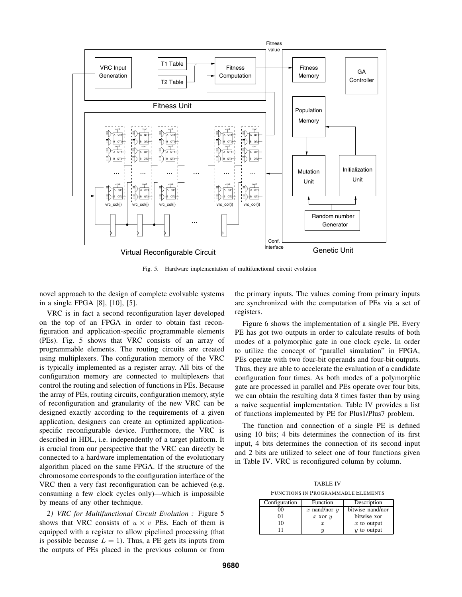

Fig. 5. Hardware implementation of multifunctional circuit evolution

novel approach to the design of complete evolvable systems in a single FPGA [8], [10], [5].

VRC is in fact a second reconfiguration layer developed on the top of an FPGA in order to obtain fast reconfiguration and application-specific programmable elements (PEs). Fig. 5 shows that VRC consists of an array of programmable elements. The routing circuits are created using multiplexers. The configuration memory of the VRC is typically implemented as a register array. All bits of the configuration memory are connected to multiplexers that control the routing and selection of functions in PEs. Because the array of PEs, routing circuits, configuration memory, style of reconfiguration and granularity of the new VRC can be designed exactly according to the requirements of a given application, designers can create an optimized applicationspecific reconfigurable device. Furthermore, the VRC is described in HDL, i.e. independently of a target platform. It is crucial from our perspective that the VRC can directly be connected to a hardware implementation of the evolutionary algorithm placed on the same FPGA. If the structure of the chromosome corresponds to the configuration interface of the VRC then a very fast reconfiguration can be achieved (e.g. consuming a few clock cycles only)—which is impossible by means of any other technique.

*2) VRC for Multifunctional Circuit Evolution :* Figure 5 shows that VRC consists of  $u \times v$  PEs. Each of them is equipped with a register to allow pipelined processing (that is possible because  $L = 1$ ). Thus, a PE gets its inputs from the outputs of PEs placed in the previous column or from

the primary inputs. The values coming from primary inputs are synchronized with the computation of PEs via a set of registers.

Figure 6 shows the implementation of a single PE. Every PE has got two outputs in order to calculate results of both modes of a polymorphic gate in one clock cycle. In order to utilize the concept of "parallel simulation" in FPGA, PEs operate with two four-bit operands and four-bit outputs. Thus, they are able to accelerate the evaluation of a candidate configuration four times. As both modes of a polymorphic gate are processed in parallel and PEs operate over four bits, we can obtain the resulting data 8 times faster than by using a naive sequential implementation. Table IV provides a list of functions implemented by PE for Plus1/Plus7 problem.

The function and connection of a single PE is defined using 10 bits; 4 bits determines the connection of its first input, 4 bits determines the connection of its second input and 2 bits are utilized to select one of four functions given in Table IV. VRC is reconfigured column by column.

TABLE IV FUNCTIONS IN PROGRAMMABLE ELEMENTS

| Configuration | Function         | Description      |
|---------------|------------------|------------------|
| 90            | x nand/nor $y$   | bitwise nand/nor |
| 01            | $x$ xor $y$      | bitwise xor      |
| 10            | $\boldsymbol{x}$ | $x$ to output    |
|               |                  | $y$ to output    |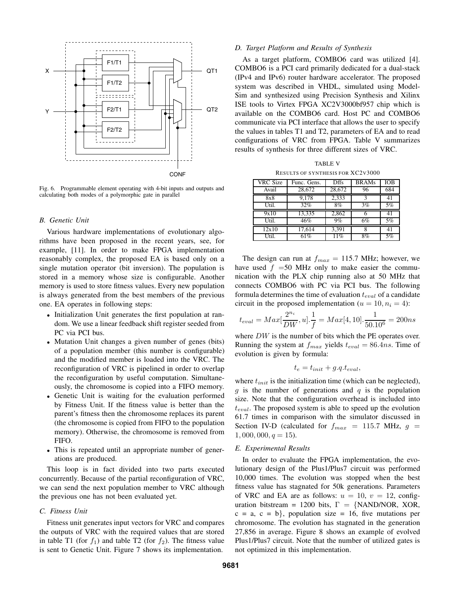

Fig. 6. Programmable element operating with 4-bit inputs and outputs and calculating both modes of a polymorphic gate in parallel

## *B. Genetic Unit*

Various hardware implementations of evolutionary algorithms have been proposed in the recent years, see, for example, [11]. In order to make FPGA implementation reasonably complex, the proposed EA is based only on a single mutation operator (bit inversion). The population is stored in a memory whose size is configurable. Another memory is used to store fitness values. Every new population is always generated from the best members of the previous one. EA operates in following steps:

- Initialization Unit generates the first population at random. We use a linear feedback shift register seeded from PC via PCI bus.
- Mutation Unit changes a given number of genes (bits) of a population member (this number is configurable) and the modified member is loaded into the VRC. The reconfiguration of VRC is pipelined in order to overlap the reconfiguration by useful computation. Simultaneously, the chromosome is copied into a FIFO memory.
- Genetic Unit is waiting for the evaluation performed by Fitness Unit. If the fitness value is better than the parent's fitness then the chromosome replaces its parent (the chromosome is copied from FIFO to the population memory). Otherwise, the chromosome is removed from FIFO.
- This is repeated until an appropriate number of generations are produced.

This loop is in fact divided into two parts executed concurrently. Because of the partial reconfiguration of VRC, we can send the next population member to VRC although the previous one has not been evaluated yet.

#### *C. Fitness Unit*

Fitness unit generates input vectors for VRC and compares the outputs of VRC with the required values that are stored in table T1 (for  $f_1$ ) and table T2 (for  $f_2$ ). The fitness value is sent to Genetic Unit. Figure 7 shows its implementation.

#### *D. Target Platform and Results of Synthesis*

As a target platform, COMBO6 card was utilized [4]. COMBO6 is a PCI card primarily dedicated for a dual-stack (IPv4 and IPv6) router hardware accelerator. The proposed system was described in VHDL, simulated using Model-Sim and synthesized using Precision Synthesis and Xilinx ISE tools to Virtex FPGA XC2V3000bf957 chip which is available on the COMBO6 card. Host PC and COMBO6 communicate via PCI interface that allows the user to specify the values in tables T1 and T2, parameters of EA and to read configurations of VRC from FPGA. Table V summarizes results of synthesis for three different sizes of VRC.

| <b>TABLE V</b>                           |
|------------------------------------------|
| <b>RESULTS OF SYNTHESIS FOR XC2V3000</b> |

| <b>VRC</b> Size | Func. Gens.         | <b>Dffs</b> | <b>BRAMs</b> | IOB |
|-----------------|---------------------|-------------|--------------|-----|
| Avail           | 28,672              | 28,672      | 96           | 684 |
| 8x8             | 9,178               | 2,333       |              | 41  |
| Util.           | 32%                 | 8%          | 3%           | 5%  |
| 9x10            | 13,335              | 2,862       |              | 41  |
| Util.           | 46%                 | 9%          | 6%           | 5%  |
| 12x10           | $17,61\overline{4}$ | 3,391       |              | 41  |
| Util.           | 61%                 | 11%         | 8%           | 5%  |

The design can run at  $f_{max} = 115.7$  MHz; however, we have used  $f = 50$  MHz only to make easier the communication with the PLX chip running also at 50 MHz that connects COMBO6 with PC via PCI bus. The following formula determines the time of evaluation <sup>t</sup>*eval* of a candidate circuit in the proposed implementation  $(u = 10, n<sub>i</sub> = 4)$ :

$$
t_{eval} = Max[\frac{2^{n_i}}{DW}, u].\frac{1}{f} = Max[4, 10].\frac{1}{50.10^6} = 200ns
$$

where DW is the number of bits which the PE operates over.<br>Running the system at f vields  $t = -86$  dns. Time of Running the system at  $f_{max}$  yields  $t_{eval} = 86.4ns$ . Time of evolution is given by formula:

$$
t_e = t_{init} + g.q.t_{eval},
$$

where  $t_{init}$  is the initialization time (which can be neglected),  $g$  is the number of generations and  $q$  is the population size. Note that the configuration overhead is included into t*eval*. The proposed system is able to speed up the evolution 61.7 times in comparison with the simulator discussed in Section IV-D (calculated for  $f_{max}$  = 115.7 MHz,  $g$  =  $1,000,000, q = 15$ .

## *E. Experimental Results*

In order to evaluate the FPGA implementation, the evolutionary design of the Plus1/Plus7 circuit was performed 10,000 times. The evolution was stopped when the best fitness value has stagnated for 50k generations. Parameters of VRC and EA are as follows:  $u = 10$ ,  $v = 12$ , configuration bitstream = 1200 bits,  $\Gamma = \{NAND/NOR, XOR,$  $c = a, c = b$ , population size = 16, five mutations per chromosome. The evolution has stagnated in the generation 27,856 in average. Figure 8 shows an example of evolved Plus1/Plus7 circuit. Note that the number of utilized gates is not optimized in this implementation.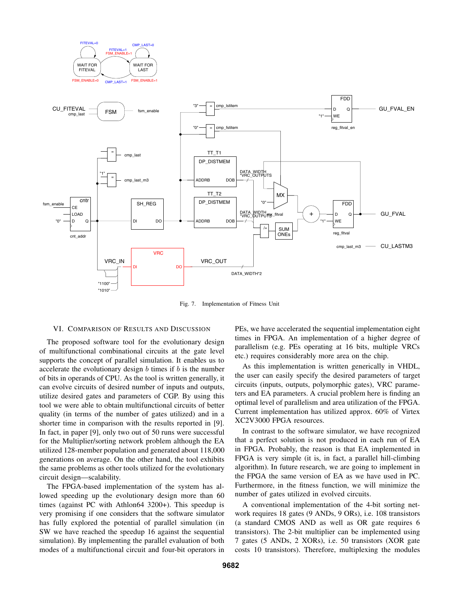

Fig. 7. Implementation of Fitness Unit

#### VI. COMPARISON OF RESULTS AND DISCUSSION

The proposed software tool for the evolutionary design of multifunctional combinational circuits at the gate level supports the concept of parallel simulation. It enables us to accelerate the evolutionary design  $b$  times if  $b$  is the number of bits in operands of CPU. As the tool is written generally, it can evolve circuits of desired number of inputs and outputs, utilize desired gates and parameters of CGP. By using this tool we were able to obtain multifunctional circuits of better quality (in terms of the number of gates utilized) and in a shorter time in comparison with the results reported in [9]. In fact, in paper [9], only two out of 50 runs were successful for the Multiplier/sorting network problem although the EA utilized 128-member population and generated about 118,000 generations on average. On the other hand, the tool exhibits the same problems as other tools utilized for the evolutionary circuit design—scalability.

The FPGA-based implementation of the system has allowed speeding up the evolutionary design more than 60 times (against PC with Athlon64 3200+). This speedup is very promising if one considers that the software simulator has fully explored the potential of parallel simulation (in SW we have reached the speedup 16 against the sequential simulation). By implementing the parallel evaluation of both modes of a multifunctional circuit and four-bit operators in PEs, we have accelerated the sequential implementation eight times in FPGA. An implementation of a higher degree of parallelism (e.g. PEs operating at 16 bits, multiple VRCs etc.) requires considerably more area on the chip.

As this implementation is written generically in VHDL, the user can easily specify the desired parameters of target circuits (inputs, outputs, polymorphic gates), VRC parameters and EA parameters. A crucial problem here is finding an optimal level of parallelism and area utilization of the FPGA. Current implementation has utilized approx. 60% of Virtex XC2V3000 FPGA resources.

In contrast to the software simulator, we have recognized that a perfect solution is not produced in each run of EA in FPGA. Probably, the reason is that EA implemented in FPGA is very simple (it is, in fact, a parallel hill-climbing algorithm). In future research, we are going to implement in the FPGA the same version of EA as we have used in PC. Furthermore, in the fitness function, we will minimize the number of gates utilized in evolved circuits.

A conventional implementation of the 4-bit sorting network requires 18 gates (9 ANDs, 9 ORs), i.e. 108 transistors (a standard CMOS AND as well as OR gate requires 6 transistors). The 2-bit multiplier can be implemented using 7 gates (5 ANDs, 2 XORs), i.e. 50 transistors (XOR gate costs 10 transistors). Therefore, multiplexing the modules